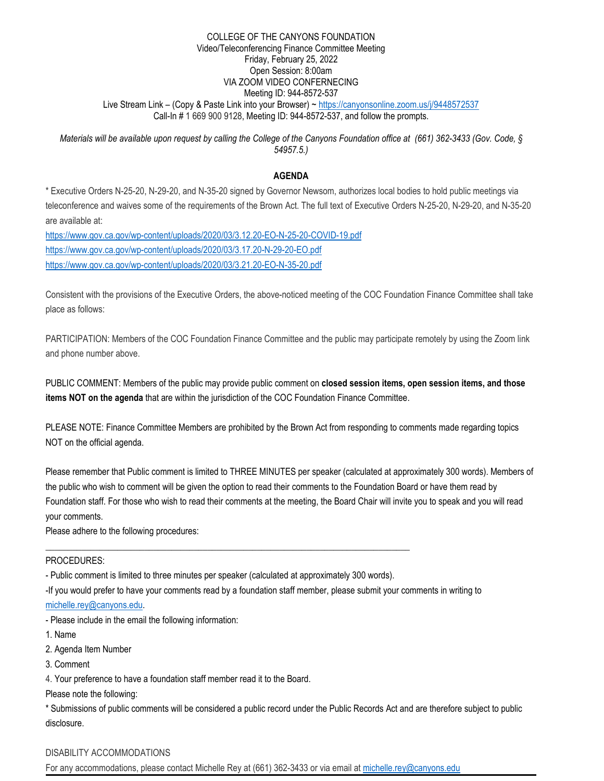#### COLLEGE OF THE CANYONS FOUNDATION Video/Teleconferencing Finance Committee Meeting Friday, February 25, 2022 Open Session: 8:00am VIA ZOOM VIDEO CONFERNECING Meeting ID: 944-8572-537 Live Stream Link - (Copy & Paste Link into your Browser) ~<https://canyonsonline.zoom.us/j/9448572537> Call-In # 1 669 900 9128, Meeting ID: 944-8572-537, and follow the prompts.

*Materials will be available upon request by calling the College of the Canyons Foundation office at (661) 362-3433 (Gov. Code, § 54957.5.)*

## **AGENDA**

\* Executive Orders N-25-20, N-29-20, and N-35-20 signed by Governor Newsom, authorizes local bodies to hold public meetings via teleconference and waives some of the requirements of the Brown Act. The full text of Executive Orders N-25-20, N-29-20, and N-35-20 are available at:

<https://www.gov.ca.gov/wp-content/uploads/2020/03/3.12.20-EO-N-25-20-COVID-19.pdf> <https://www.gov.ca.gov/wp-content/uploads/2020/03/3.17.20-N-29-20-EO.pdf> <https://www.gov.ca.gov/wp-content/uploads/2020/03/3.21.20-EO-N-35-20.pdf>

Consistent with the provisions of the Executive Orders, the above-noticed meeting of the COC Foundation Finance Committee shall take place as follows:

PARTICIPATION: Members of the COC Foundation Finance Committee and the public may participate remotely by using the Zoom link and phone number above.

PUBLIC COMMENT: Members of the public may provide public comment on **closed session items, open session items, and those items NOT on the agenda** that are within the jurisdiction of the COC Foundation Finance Committee.

PLEASE NOTE: Finance Committee Members are prohibited by the Brown Act from responding to comments made regarding topics NOT on the official agenda.

Please remember that Public comment is limited to THREE MINUTES per speaker (calculated at approximately 300 words). Members of the public who wish to comment will be given the option to read their comments to the Foundation Board or have them read by Foundation staff. For those who wish to read their comments at the meeting, the Board Chair will invite you to speak and you will read your comments.

Please adhere to the following procedures:

#### PROCEDURES:

- Public comment is limited to three minutes per speaker (calculated at approximately 300 words).

\_\_\_\_\_\_\_\_\_\_\_\_\_\_\_\_\_\_\_\_\_\_\_\_\_\_\_\_\_\_\_\_\_\_\_\_\_\_\_\_\_\_\_\_\_\_\_\_\_\_\_\_\_\_\_\_\_\_\_\_\_\_\_\_\_\_\_\_\_\_\_\_\_\_\_\_\_\_\_\_\_

-If you would prefer to have your comments read by a foundation staff member, please submit your comments in writing to [michelle.rey@canyons.edu.](mailto:michelle.rey@canyons.edu)

- Please include in the email the following information:

1. Name

2. Agenda Item Number

3. Comment

4. Your preference to have a foundation staff member read it to the Board.

Please note the following:

\* Submissions of public comments will be considered a public record under the Public Records Act and are therefore subject to public disclosure.

# DISABILITY ACCOMMODATIONS

For any accommodations, please contact Michelle Rey at (661) 362-3433 or via email at [michelle.rey@canyons.edu](mailto:michelle.rey@canyons.edu)